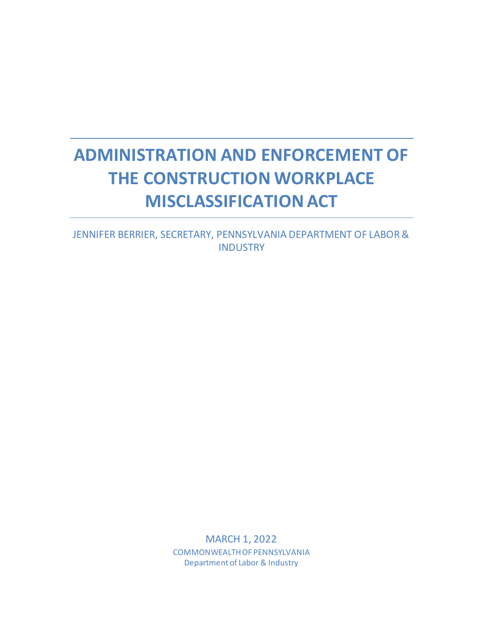# **ADMINISTRATION AND ENFORCEMENT OF THE CONSTRUCTION WORKPLACE MISCLASSIFICATION ACT**

JENNIFER BERRIER, SECRETARY, PENNSYLVANIA DEPARTMENT OF LABOR & **INDUSTRY** 

> MARCH 1, 2022 COMMONWEALTH OF PENNSYLVANIA Department of Labor & Industry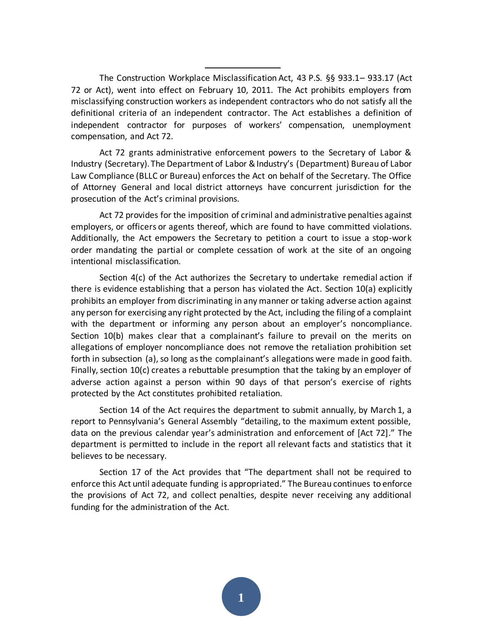The Construction Workplace Misclassification Act, 43 P.S. §§ 933.1– 933.17 (Act 72 or Act), went into effect on February 10, 2011. The Act prohibits employers from misclassifying construction workers as independent contractors who do not satisfy all the definitional criteria of an independent contractor. The Act establishes a definition of independent contractor for purposes of workers' compensation, unemployment compensation, and Act 72.

Act 72 grants administrative enforcement powers to the Secretary of Labor & Industry (Secretary). The Department of Labor & Industry's (Department) Bureau of Labor Law Compliance (BLLC or Bureau) enforces the Act on behalf of the Secretary. The Office of Attorney General and local district attorneys have concurrent jurisdiction for the prosecution of the Act's criminal provisions.

Act 72 provides for the imposition of criminal and administrative penalties against employers, or officers or agents thereof, which are found to have committed violations. Additionally, the Act empowers the Secretary to petition a court to issue a stop-work order mandating the partial or complete cessation of work at the site of an ongoing intentional misclassification.

Section 4(c) of the Act authorizes the Secretary to undertake remedial action if there is evidence establishing that a person has violated the Act. Section 10(a) explicitly prohibits an employer from discriminating in any manner or taking adverse action against any person for exercising any right protected by the Act, including the filing of a complaint with the department or informing any person about an employer's noncompliance. Section 10(b) makes clear that a complainant's failure to prevail on the merits on allegations of employer noncompliance does not remove the retaliation prohibition set forth in subsection (a), so long as the complainant's allegations were made in good faith. Finally, section 10(c) creates a rebuttable presumption that the taking by an employer of adverse action against a person within 90 days of that person's exercise of rights protected by the Act constitutes prohibited retaliation.

Section 14 of the Act requires the department to submit annually, by March 1, a report to Pennsylvania's General Assembly "detailing, to the maximum extent possible, data on the previous calendar year's administration and enforcement of [Act 72]." The department is permitted to include in the report all relevant facts and statistics that it believes to be necessary.

Section 17 of the Act provides that "The department shall not be required to enforce this Act until adequate funding is appropriated." The Bureau continues to enforce the provisions of Act 72, and collect penalties, despite never receiving any additional funding for the administration of the Act.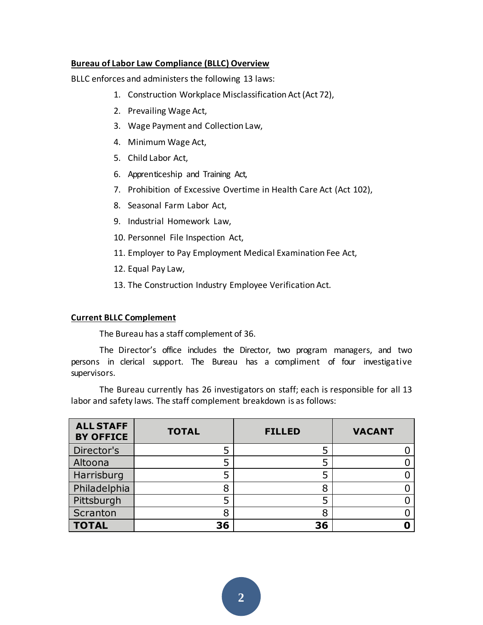## **Bureau of Labor Law Compliance (BLLC) Overview**

BLLC enforces and administers the following 13 laws:

- 1. Construction Workplace Misclassification Act (Act 72),
- 2. Prevailing Wage Act,
- 3. Wage Payment and Collection Law,
- 4. Minimum Wage Act,
- 5. Child Labor Act,
- 6. Apprenticeship and Training Act,
- 7. Prohibition of Excessive Overtime in Health Care Act (Act 102),
- 8. Seasonal Farm Labor Act,
- 9. Industrial Homework Law,
- 10. Personnel File Inspection Act,
- 11. Employer to Pay Employment Medical Examination Fee Act,
- 12. Equal Pay Law,
- 13. The Construction Industry Employee Verification Act.

## **Current BLLC Complement**

The Bureau has a staff complement of 36.

The Director's office includes the Director, two program managers, and two persons in clerical support. The Bureau has a compliment of four investigative supervisors.

The Bureau currently has 26 investigators on staff; each is responsible for all 13 labor and safety laws. The staff complement breakdown is as follows:

| <b>ALL STAFF</b><br><b>BY OFFICE</b> | <b>TOTAL</b> | <b>FILLED</b> | <b>VACANT</b> |
|--------------------------------------|--------------|---------------|---------------|
| Director's                           |              |               |               |
| Altoona                              |              |               |               |
| Harrisburg                           |              | 5             |               |
| Philadelphia                         | 8            | 8             |               |
| Pittsburgh                           |              |               |               |
| Scranton                             | 8            | 8             |               |
| <b>TOTAL</b>                         | 36           | 36            |               |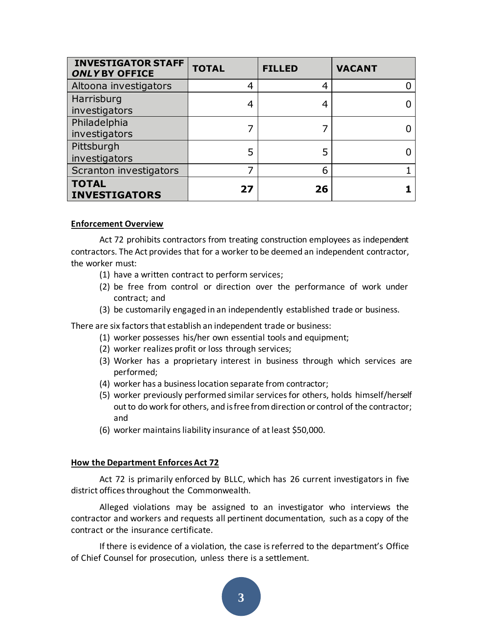| <b>INVESTIGATOR STAFF</b><br><b>ONLYBY OFFICE</b> | <b>TOTAL</b> | <b>FILLED</b> | <b>VACANT</b> |
|---------------------------------------------------|--------------|---------------|---------------|
| Altoona investigators                             | 4            | 4             |               |
| Harrisburg<br>investigators                       |              |               |               |
| Philadelphia<br>investigators                     |              |               |               |
| Pittsburgh<br>investigators                       |              |               |               |
| Scranton investigators                            |              | 6             |               |
| <b>TOTAL</b><br><b>INVESTIGATORS</b>              | 27           | 26            |               |

### **Enforcement Overview**

Act 72 prohibits contractors from treating construction employees as independent contractors. The Act provides that for a worker to be deemed an independent contractor, the worker must:

- (1) have a written contract to perform services;
- (2) be free from control or direction over the performance of work under contract; and
- (3) be customarily engaged in an independently established trade or business.

There are six factors that establish an independent trade or business:

- (1) worker possesses his/her own essential tools and equipment;
- (2) worker realizes profit or loss through services;
- (3) Worker has a proprietary interest in business through which services are performed;
- (4) worker has a business location separate from contractor;
- (5) worker previously performed similar services for others, holds himself/herself out to do work for others, and is free from direction or control of the contractor; and
- (6) worker maintains liability insurance of at least \$50,000.

#### **How the Department Enforces Act 72**

Act 72 is primarily enforced by BLLC, which has 26 current investigators in five district offices throughout the Commonwealth.

Alleged violations may be assigned to an investigator who interviews the contractor and workers and requests all pertinent documentation, such as a copy of the contract or the insurance certificate.

If there is evidence of a violation, the case is referred to the department's Office of Chief Counsel for prosecution, unless there is a settlement.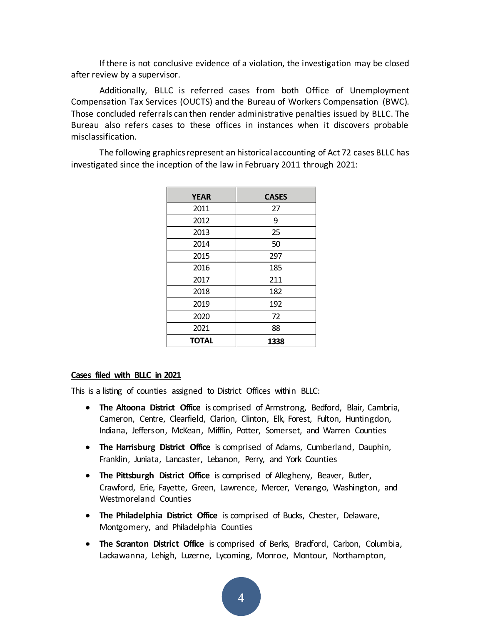If there is not conclusive evidence of a violation, the investigation may be closed after review by a supervisor.

Additionally, BLLC is referred cases from both Office of Unemployment Compensation Tax Services (OUCTS) and the Bureau of Workers Compensation (BWC). Those concluded referrals can then render administrative penalties issued by BLLC. The Bureau also refers cases to these offices in instances when it discovers probable misclassification.

The following graphics represent an historical accounting of Act 72 cases BLLC has investigated since the inception of the law in February 2011 through 2021:

| <b>YEAR</b>  | <b>CASES</b> |  |
|--------------|--------------|--|
| 2011         | 27           |  |
| 2012         | 9            |  |
| 2013         | 25           |  |
| 2014         | 50           |  |
| 2015         | 297          |  |
| 2016         | 185          |  |
| 2017         | 211          |  |
| 2018         | 182          |  |
| 2019         | 192          |  |
| 2020         | 72           |  |
| 2021         | 88           |  |
| <b>TOTAL</b> | 1338         |  |

#### **Cases filed with BLLC in 2021**

This is a listing of counties assigned to District Offices within BLLC:

- **The Altoona District Office** is comprised of Armstrong, Bedford, Blair, Cambria, Cameron, Centre, Clearfield, Clarion, Clinton, Elk, Forest, Fulton, Huntingdon, Indiana, Jefferson, McKean, Mifflin, Potter, Somerset, and Warren Counties
- **The Harrisburg District Office** is comprised of Adams, Cumberland, Dauphin, Franklin, Juniata, Lancaster, Lebanon, Perry, and York Counties
- **The Pittsburgh District Office** is comprised of Allegheny, Beaver, Butler, Crawford, Erie, Fayette, Green, Lawrence, Mercer, Venango, Washington, and Westmoreland Counties
- **The Philadelphia District Office** is comprised of Bucks, Chester, Delaware, Montgomery, and Philadelphia Counties
- **The Scranton District Office** is comprised of Berks, Bradford, Carbon, Columbia, Lackawanna, Lehigh, Luzerne, Lycoming, Monroe, Montour, Northampton,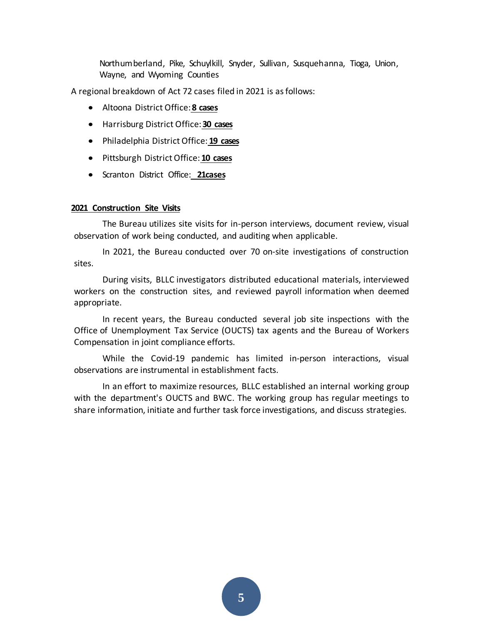Northumberland, Pike, Schuylkill, Snyder, Sullivan, Susquehanna, Tioga, Union, Wayne, and Wyoming Counties

A regional breakdown of Act 72 cases filed in 2021 is as follows:

- Altoona District Office:**8 cases**
- Harrisburg District Office:**30 cases**
- Philadelphia District Office: **19 cases**
- Pittsburgh District Office: **10 cases**
- Scranton District Office: **21cases**

#### **2021 Construction Site Visits**

The Bureau utilizes site visits for in-person interviews, document review, visual observation of work being conducted, and auditing when applicable.

In 2021, the Bureau conducted over 70 on-site investigations of construction sites.

During visits, BLLC investigators distributed educational materials, interviewed workers on the construction sites, and reviewed payroll information when deemed appropriate.

In recent years, the Bureau conducted several job site inspections with the Office of Unemployment Tax Service (OUCTS) tax agents and the Bureau of Workers Compensation in joint compliance efforts.

While the Covid-19 pandemic has limited in-person interactions, visual observations are instrumental in establishment facts.

In an effort to maximize resources, BLLC established an internal working group with the department's OUCTS and BWC. The working group has regular meetings to share information, initiate and further task force investigations, and discuss strategies.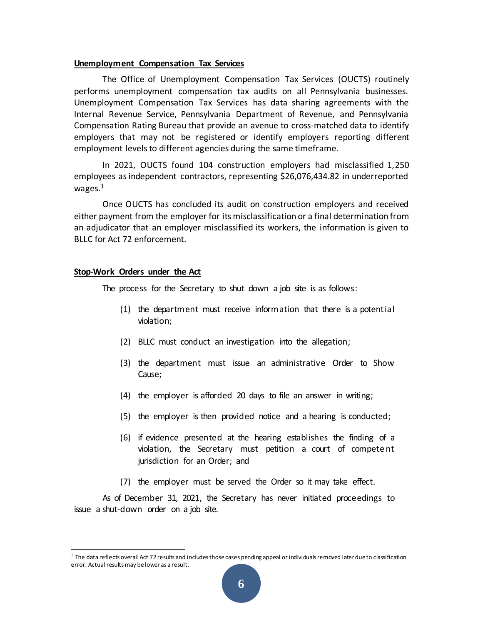#### **Unemployment Compensation Tax Services**

The Office of Unemployment Compensation Tax Services (OUCTS) routinely performs unemployment compensation tax audits on all Pennsylvania businesses. Unemployment Compensation Tax Services has data sharing agreements with the Internal Revenue Service, Pennsylvania Department of Revenue, and Pennsylvania Compensation Rating Bureau that provide an avenue to cross-matched data to identify employers that may not be registered or identify employers reporting different employment levels to different agencies during the same timeframe.

In 2021, OUCTS found 104 construction employers had misclassified 1,250 employees as independent contractors, representing \$26,076,434.82 in underreported wages. $<sup>1</sup>$ </sup>

Once OUCTS has concluded its audit on construction employers and received either payment from the employer for its misclassification or a final determination from an adjudicator that an employer misclassified its workers, the information is given to BLLC for Act 72 enforcement.

#### **Stop-Work Orders under the Act**

The process for the Secretary to shut down a job site is as follows:

- (1) the department must receive information that there is a potential violation;
- (2) BLLC must conduct an investigation into the allegation;
- (3) the department must issue an administrative Order to Show Cause;
- (4) the employer is afforded 20 days to file an answer in writing;
- (5) the employer is then provided notice and a hearing is conducted;
- (6) if evidence presented at the hearing establishes the finding of a violation, the Secretary must petition a court of compete nt jurisdiction for an Order; and
- (7) the employer must be served the Order so it may take effect.

As of December 31, 2021, the Secretary has never initiated proceedings to issue a shut-down order on a job site.

 $^1$  The data reflects overall Act 72 results and includes those cases pending appeal or individuals removed later due to classification error. Actual results may be lower as a result.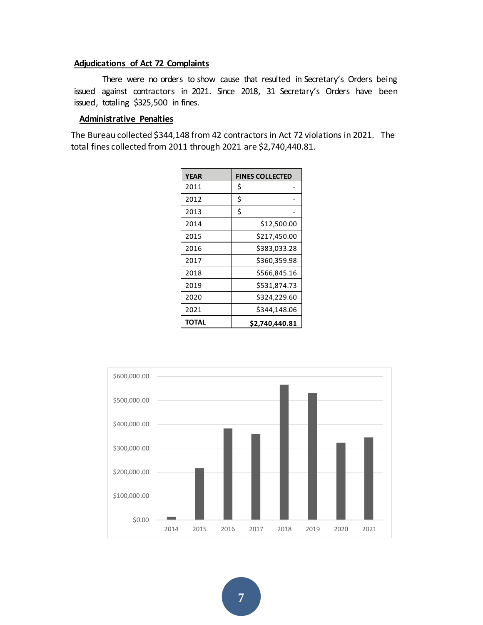#### **Adjudications of Act 72 Complaints**

There were no orders to show cause that resulted in Secretary's Orders being issued against contractors in 2021. Since 2018, 31 Secretary's Orders have been issued, totaling \$325,500 in fines.

#### **Administrative Penalties**

The Bureau collected \$344,148 from 42 contractors in Act 72 violations in 2021. The total fines collected from 2011 through 2021 are \$2,740,440.81.

| <b>YEAR</b> | <b>FINES COLLECTED</b> |  |
|-------------|------------------------|--|
| 2011        | Ś                      |  |
| 2012        | \$                     |  |
| 2013        | \$                     |  |
| 2014        | \$12,500.00            |  |
| 2015        | \$217,450.00           |  |
| 2016        | \$383,033.28           |  |
| 2017        | \$360,359.98           |  |
| 2018        | \$566,845.16           |  |
| 2019        | \$531,874.73           |  |
| 2020        | \$324,229.60           |  |
| 2021        | \$344,148.06           |  |
| TOTAL       | \$2,740,440.81         |  |

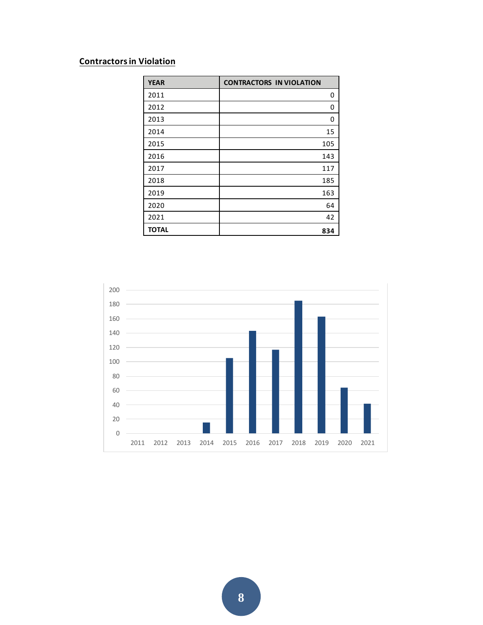## **Contractors in Violation**

| <b>YEAR</b>  | <b>CONTRACTORS IN VIOLATION</b> |
|--------------|---------------------------------|
| 2011         | 0                               |
| 2012         | 0                               |
| 2013         | 0                               |
| 2014         | 15                              |
| 2015         | 105                             |
| 2016         | 143                             |
| 2017         | 117                             |
| 2018         | 185                             |
| 2019         | 163                             |
| 2020         | 64                              |
| 2021         | 42                              |
| <b>TOTAL</b> | 834                             |

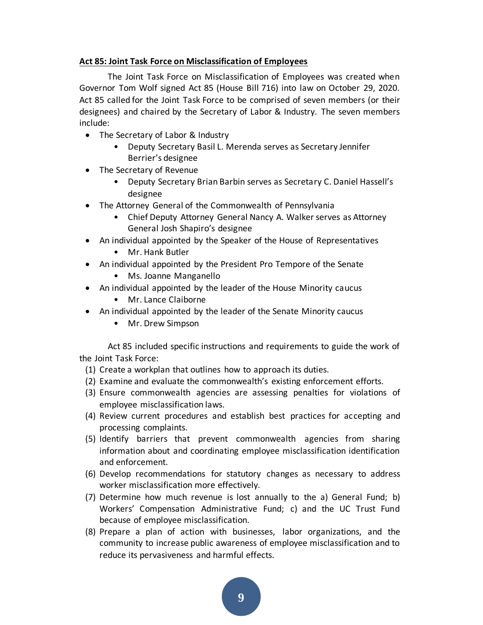## **Act 85: Joint Task Force on Misclassification of Employees**

The Joint Task Force on Misclassification of Employees was created when Governor Tom Wolf signed Act 85 (House Bill 716) into law on October 29, 2020. Act 85 called for the Joint Task Force to be comprised of seven members (or their designees) and chaired by the Secretary of Labor & Industry. The seven members include:

- The Secretary of Labor & Industry
	- Deputy Secretary Basil L. Merenda serves as Secretary Jennifer Berrier's designee
- The Secretary of Revenue
	- Deputy Secretary Brian Barbin serves as Secretary C. Daniel Hassell's designee
- The Attorney General of the Commonwealth of Pennsylvania
	- Chief Deputy Attorney General Nancy A. Walker serves as Attorney General Josh Shapiro's designee
- An individual appointed by the Speaker of the House of Representatives
	- Mr. Hank Butler
- An individual appointed by the President Pro Tempore of the Senate
	- Ms. Joanne Manganello
- An individual appointed by the leader of the House Minority caucus
	- Mr. Lance Claiborne
- An individual appointed by the leader of the Senate Minority caucus
	- Mr. Drew Simpson

Act 85 included specific instructions and requirements to guide the work of the Joint Task Force:

- (1) Create a workplan that outlines how to approach its duties.
- (2) Examine and evaluate the commonwealth's existing enforcement efforts.
- (3) Ensure commonwealth agencies are assessing penalties for violations of employee misclassification laws.
- (4) Review current procedures and establish best practices for accepting and processing complaints.
- (5) Identify barriers that prevent commonwealth agencies from sharing information about and coordinating employee misclassification identification and enforcement.
- (6) Develop recommendations for statutory changes as necessary to address worker misclassification more effectively.
- (7) Determine how much revenue is lost annually to the a) General Fund; b) Workers' Compensation Administrative Fund; c) and the UC Trust Fund because of employee misclassification.
- (8) Prepare a plan of action with businesses, labor organizations, and the community to increase public awareness of employee misclassification and to reduce its pervasiveness and harmful effects.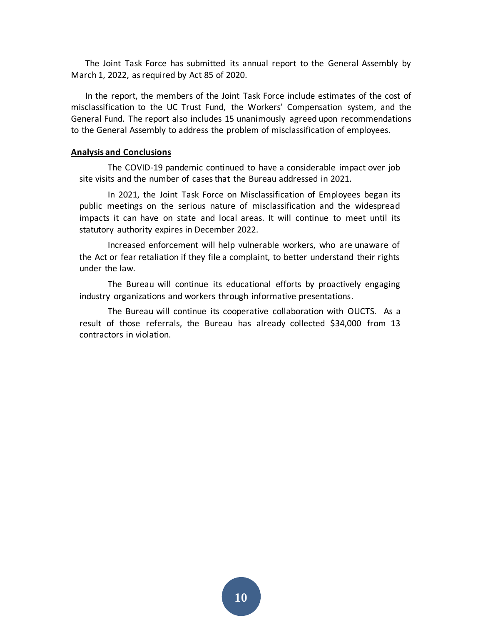The Joint Task Force has submitted its annual report to the General Assembly by March 1, 2022, as required by Act 85 of 2020.

In the report, the members of the Joint Task Force include estimates of the cost of misclassification to the UC Trust Fund, the Workers' Compensation system, and the General Fund. The report also includes 15 unanimously agreed upon recommendations to the General Assembly to address the problem of misclassification of employees.

#### **Analysis and Conclusions**

The COVID-19 pandemic continued to have a considerable impact over job site visits and the number of cases that the Bureau addressed in 2021.

In 2021, the Joint Task Force on Misclassification of Employees began its public meetings on the serious nature of misclassification and the widespread impacts it can have on state and local areas. It will continue to meet until its statutory authority expires in December 2022.

Increased enforcement will help vulnerable workers, who are unaware of the Act or fear retaliation if they file a complaint, to better understand their rights under the law.

The Bureau will continue its educational efforts by proactively engaging industry organizations and workers through informative presentations.

The Bureau will continue its cooperative collaboration with OUCTS. As a result of those referrals, the Bureau has already collected \$34,000 from 13 contractors in violation.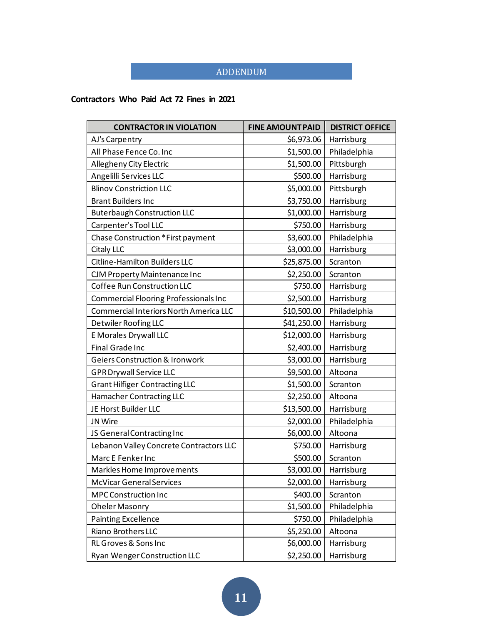## ADDENDUM

## **Contractors Who Paid Act 72 Fines in 2021**

| <b>CONTRACTOR IN VIOLATION</b>                | <b>FINE AMOUNT PAID</b> | <b>DISTRICT OFFICE</b> |
|-----------------------------------------------|-------------------------|------------------------|
| AJ's Carpentry                                | \$6,973.06              | Harrisburg             |
| All Phase Fence Co. Inc                       | \$1,500.00              | Philadelphia           |
| Allegheny City Electric                       | \$1,500.00              | Pittsburgh             |
| Angelilli Services LLC                        | \$500.00                | Harrisburg             |
| <b>Blinov Constriction LLC</b>                | \$5,000.00              | Pittsburgh             |
| <b>Brant Builders Inc</b>                     | \$3,750.00              | Harrisburg             |
| <b>Buterbaugh Construction LLC</b>            | \$1,000.00              | Harrisburg             |
| Carpenter's Tool LLC                          | \$750.00                | Harrisburg             |
| Chase Construction *First payment             | \$3,600.00              | Philadelphia           |
| Citaly LLC                                    | \$3,000.00              | Harrisburg             |
| <b>Citline-Hamilton Builders LLC</b>          | \$25,875.00             | Scranton               |
| CJM Property Maintenance Inc                  | \$2,250.00              | Scranton               |
| Coffee Run Construction LLC                   | \$750.00                | Harrisburg             |
| Commercial Flooring Professionals Inc         | \$2,500.00              | Harrisburg             |
| <b>Commercial Interiors North America LLC</b> | \$10,500.00             | Philadelphia           |
| Detwiler Roofing LLC                          | \$41,250.00             | Harrisburg             |
| E Morales Drywall LLC                         | \$12,000.00             | Harrisburg             |
| <b>Final Grade Inc</b>                        | \$2,400.00              | Harrisburg             |
| <b>Geiers Construction &amp; Ironwork</b>     | \$3,000.00              | Harrisburg             |
| <b>GPR Drywall Service LLC</b>                | \$9,500.00              | Altoona                |
| <b>Grant Hilfiger Contracting LLC</b>         | \$1,500.00              | Scranton               |
| Hamacher Contracting LLC                      | \$2,250.00              | Altoona                |
| JE Horst Builder LLC                          | \$13,500.00             | Harrisburg             |
| JN Wire                                       | \$2,000.00              | Philadelphia           |
| JS General Contracting Inc                    | \$6,000.00              | Altoona                |
| Lebanon Valley Concrete Contractors LLC       | \$750.00                | Harrisburg             |
| Marc E Fenker Inc                             | \$500.00                | Scranton               |
| Markles Home Improvements                     | \$3,000.00              | Harrisburg             |
| <b>McVicar General Services</b>               | \$2,000.00              | Harrisburg             |
| <b>MPC Construction Inc</b>                   | \$400.00                | Scranton               |
| Oheler Masonry                                | \$1,500.00              | Philadelphia           |
| <b>Painting Excellence</b>                    | \$750.00                | Philadelphia           |
| <b>Riano Brothers LLC</b>                     | \$5,250.00              | Altoona                |
| RL Groves & Sons Inc                          | \$6,000.00              | Harrisburg             |
| Ryan Wenger Construction LLC                  | \$2,250.00              | Harrisburg             |